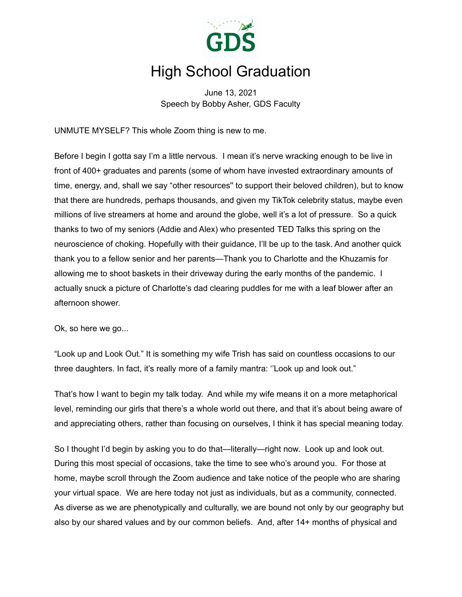

## High School Graduation

June 13, 2021 Speech by Bobby Asher, GDS Faculty

UNMUTE MYSELF? This whole Zoom thing is new to me.

Before I begin I gotta say I'm a little nervous. I mean it's nerve wracking enough to be live in front of 400+ graduates and parents (some of whom have invested extraordinary amounts of time, energy, and, shall we say "other resources'' to support their beloved children), but to know that there are hundreds, perhaps thousands, and given my TikTok celebrity status, maybe even millions of live streamers at home and around the globe, well it's a lot of pressure. So a quick thanks to two of my seniors (Addie and Alex) who presented TED Talks this spring on the neuroscience of choking. Hopefully with their guidance, I'll be up to the task. And another quick thank you to a fellow senior and her parents—Thank you to Charlotte and the Khuzamis for allowing me to shoot baskets in their driveway during the early months of the pandemic. I actually snuck a picture of Charlotte's dad clearing puddles for me with a leaf blower after an afternoon shower.

Ok, so here we go...

"Look up and Look Out." It is something my wife Trish has said on countless occasions to our three daughters. In fact, it's really more of a family mantra: ''Look up and look out."

That's how I want to begin my talk today. And while my wife means it on a more metaphorical level, reminding our girls that there's a whole world out there, and that it's about being aware of and appreciating others, rather than focusing on ourselves, I think it has special meaning today.

So I thought I'd begin by asking you to do that—literally—right now. Look up and look out. During this most special of occasions, take the time to see who's around you. For those at home, maybe scroll through the Zoom audience and take notice of the people who are sharing your virtual space. We are here today not just as individuals, but as a community, connected. As diverse as we are phenotypically and culturally, we are bound not only by our geography but also by our shared values and by our common beliefs. And, after 14+ months of physical and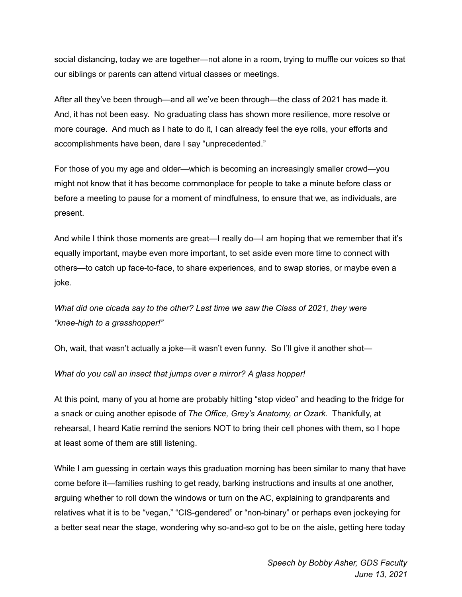social distancing, today we are together—not alone in a room, trying to muffle our voices so that our siblings or parents can attend virtual classes or meetings.

After all they've been through—and all we've been through—the class of 2021 has made it. And, it has not been easy. No graduating class has shown more resilience, more resolve or more courage. And much as I hate to do it, I can already feel the eye rolls, your efforts and accomplishments have been, dare I say "unprecedented."

For those of you my age and older—which is becoming an increasingly smaller crowd—you might not know that it has become commonplace for people to take a minute before class or before a meeting to pause for a moment of mindfulness, to ensure that we, as individuals, are present.

And while I think those moments are great—I really do—I am hoping that we remember that it's equally important, maybe even more important, to set aside even more time to connect with others—to catch up face-to-face, to share experiences, and to swap stories, or maybe even a joke.

*What did one cicada say to the other? Last time we saw the Class of 2021, they were "knee-high to a grasshopper!"*

Oh, wait, that wasn't actually a joke—it wasn't even funny. So I'll give it another shot—

*What do you call an insect that jumps over a mirror? A glass hopper!*

At this point, many of you at home are probably hitting "stop video" and heading to the fridge for a snack or cuing another episode of *The Office, Grey's Anatomy, or Ozark*. Thankfully, at rehearsal, I heard Katie remind the seniors NOT to bring their cell phones with them, so I hope at least some of them are still listening.

While I am guessing in certain ways this graduation morning has been similar to many that have come before it—families rushing to get ready, barking instructions and insults at one another, arguing whether to roll down the windows or turn on the AC, explaining to grandparents and relatives what it is to be "vegan," "CIS-gendered" or "non-binary" or perhaps even jockeying for a better seat near the stage, wondering why so-and-so got to be on the aisle, getting here today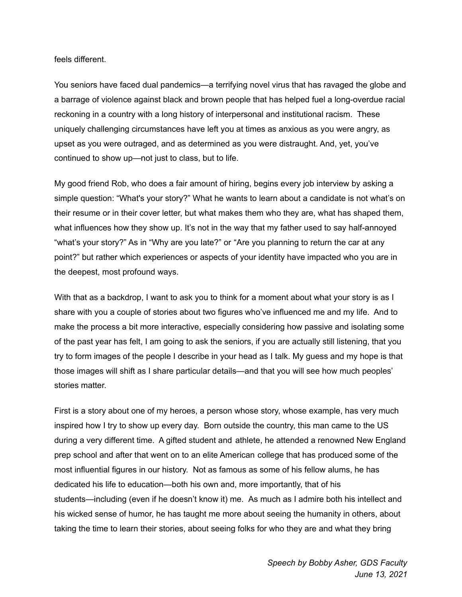feels different.

You seniors have faced dual pandemics—a terrifying novel virus that has ravaged the globe and a barrage of violence against black and brown people that has helped fuel a long-overdue racial reckoning in a country with a long history of interpersonal and institutional racism. These uniquely challenging circumstances have left you at times as anxious as you were angry, as upset as you were outraged, and as determined as you were distraught. And, yet, you've continued to show up—not just to class, but to life.

My good friend Rob, who does a fair amount of hiring, begins every job interview by asking a simple question: "What's your story?" What he wants to learn about a candidate is not what's on their resume or in their cover letter, but what makes them who they are, what has shaped them, what influences how they show up. It's not in the way that my father used to say half-annoyed "what's your story?" As in "Why are you late?" or "Are you planning to return the car at any point?" but rather which experiences or aspects of your identity have impacted who you are in the deepest, most profound ways.

With that as a backdrop, I want to ask you to think for a moment about what your story is as I share with you a couple of stories about two figures who've influenced me and my life. And to make the process a bit more interactive, especially considering how passive and isolating some of the past year has felt, I am going to ask the seniors, if you are actually still listening, that you try to form images of the people I describe in your head as I talk. My guess and my hope is that those images will shift as I share particular details—and that you will see how much peoples' stories matter.

First is a story about one of my heroes, a person whose story, whose example, has very much inspired how I try to show up every day. Born outside the country, this man came to the US during a very different time. A gifted student and athlete, he attended a renowned New England prep school and after that went on to an elite American college that has produced some of the most influential figures in our history. Not as famous as some of his fellow alums, he has dedicated his life to education—both his own and, more importantly, that of his students—including (even if he doesn't know it) me. As much as I admire both his intellect and his wicked sense of humor, he has taught me more about seeing the humanity in others, about taking the time to learn their stories, about seeing folks for who they are and what they bring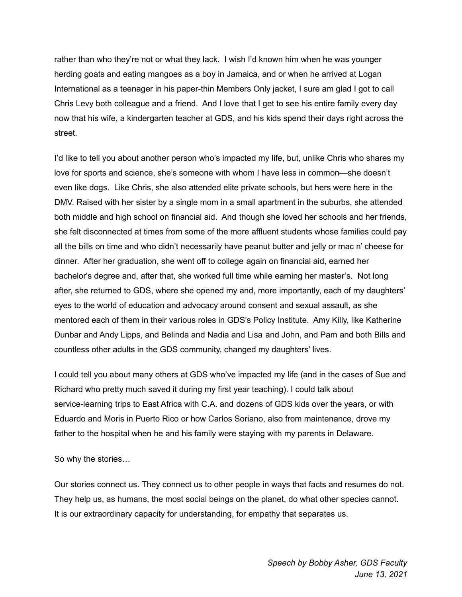rather than who they're not or what they lack. I wish I'd known him when he was younger herding goats and eating mangoes as a boy in Jamaica, and or when he arrived at Logan International as a teenager in his paper-thin Members Only jacket, I sure am glad I got to call Chris Levy both colleague and a friend. And I love that I get to see his entire family every day now that his wife, a kindergarten teacher at GDS, and his kids spend their days right across the street.

I'd like to tell you about another person who's impacted my life, but, unlike Chris who shares my love for sports and science, she's someone with whom I have less in common—she doesn't even like dogs. Like Chris, she also attended elite private schools, but hers were here in the DMV. Raised with her sister by a single mom in a small apartment in the suburbs, she attended both middle and high school on financial aid. And though she loved her schools and her friends, she felt disconnected at times from some of the more affluent students whose families could pay all the bills on time and who didn't necessarily have peanut butter and jelly or mac n' cheese for dinner. After her graduation, she went off to college again on financial aid, earned her bachelor's degree and, after that, she worked full time while earning her master's. Not long after, she returned to GDS, where she opened my and, more importantly, each of my daughters' eyes to the world of education and advocacy around consent and sexual assault, as she mentored each of them in their various roles in GDS's Policy Institute. Amy Killy, like Katherine Dunbar and Andy Lipps, and Belinda and Nadia and Lisa and John, and Pam and both Bills and countless other adults in the GDS community, changed my daughters' lives.

I could tell you about many others at GDS who've impacted my life (and in the cases of Sue and Richard who pretty much saved it during my first year teaching). I could talk about service-learning trips to East Africa with C.A. and dozens of GDS kids over the years, or with Eduardo and Moris in Puerto Rico or how Carlos Soriano, also from maintenance, drove my father to the hospital when he and his family were staying with my parents in Delaware.

So why the stories…

Our stories connect us. They connect us to other people in ways that facts and resumes do not. They help us, as humans, the most social beings on the planet, do what other species cannot. It is our extraordinary capacity for understanding, for empathy that separates us.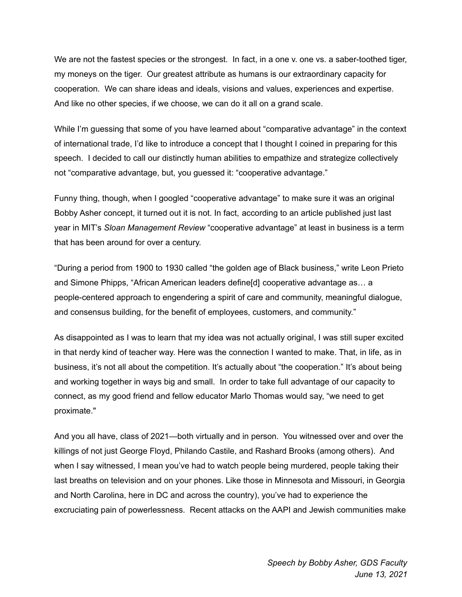We are not the fastest species or the strongest. In fact, in a one v. one vs. a saber-toothed tiger, my moneys on the tiger. Our greatest attribute as humans is our extraordinary capacity for cooperation. We can share ideas and ideals, visions and values, experiences and expertise. And like no other species, if we choose, we can do it all on a grand scale.

While I'm guessing that some of you have learned about "comparative advantage" in the context of international trade, I'd like to introduce a concept that I thought I coined in preparing for this speech. I decided to call our distinctly human abilities to empathize and strategize collectively not "comparative advantage, but, you guessed it: "cooperative advantage."

Funny thing, though, when I googled "cooperative advantage" to make sure it was an original Bobby Asher concept, it turned out it is not. In fact, according to an article published just last year in MIT's *Sloan Management Review* "cooperative advantage" at least in business is a term that has been around for over a century.

"During a period from 1900 to 1930 called "the golden age of Black business," write Leon Prieto and Simone Phipps, "African American leaders define[d] cooperative advantage as… a people-centered approach to engendering a spirit of care and community, meaningful dialogue, and consensus building, for the benefit of employees, customers, and community."

As disappointed as I was to learn that my idea was not actually original, I was still super excited in that nerdy kind of teacher way. Here was the connection I wanted to make. That, in life, as in business, it's not all about the competition. It's actually about "the cooperation." It's about being and working together in ways big and small. In order to take full advantage of our capacity to connect, as my good friend and fellow educator Marlo Thomas would say, "we need to get proximate."

And you all have, class of 2021—both virtually and in person. You witnessed over and over the killings of not just George Floyd, Philando Castile, and Rashard Brooks (among others). And when I say witnessed, I mean you've had to watch people being murdered, people taking their last breaths on television and on your phones. Like those in Minnesota and Missouri, in Georgia and North Carolina, here in DC and across the country), you've had to experience the excruciating pain of powerlessness. Recent attacks on the AAPI and Jewish communities make